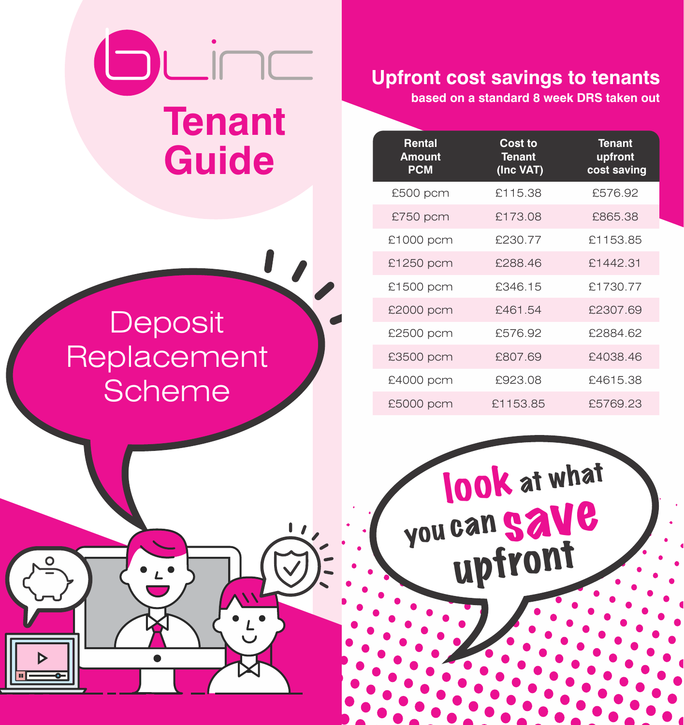## LİNC **Tenant Guide Rental Cost to Tenant**

## **Upfront cost savings to tenants**

**based on a standard 8 week DRS taken out**

| Rental<br><b>Amount</b><br><b>PCM</b> | Cost to<br><b>Tenant</b><br>(Inc VAT) | <b>Tenant</b><br>upfront<br>cost saving |
|---------------------------------------|---------------------------------------|-----------------------------------------|
| £500 pcm                              | £115.38                               | £576.92                                 |
| £750 pcm                              | £173.08                               | £865.38                                 |
| £1000 pcm                             | £230.77                               | £1153.85                                |
| £1250 pcm                             | £288.46                               | £1442.31                                |
| £1500 pcm                             | £346.15                               | £1730.77                                |
| £2000 pcm                             | £461.54                               | £2307.69                                |
| £2500 pcm                             | £576.92                               | £2884.62                                |
| £3500 pcm                             | £807.69                               | £4038.46                                |
| £4000 pcm                             | £923.08                               | £4615.38                                |
| £5000 pcm                             | £1153.85                              | £5769.23                                |

**look** at what

you can SAVe

 upfront

## **Deposit** Replacement Scheme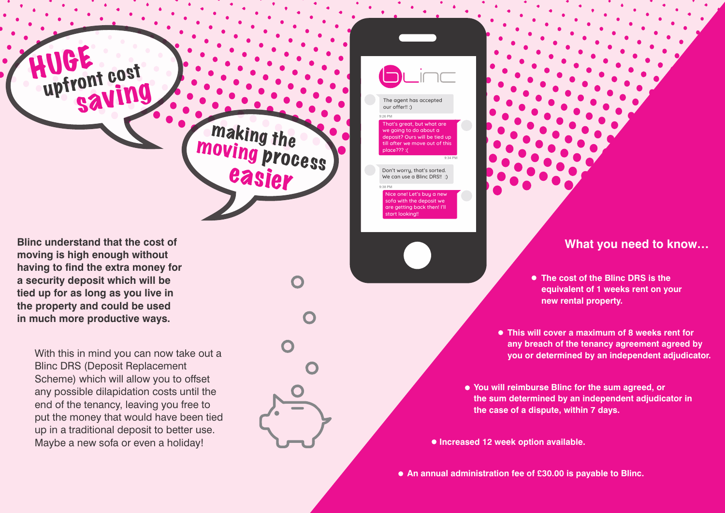**Blinc understand that the cost of moving is high enough without**  having to find the extra money for **a security deposit which will be tied up for as long as you live in the property and could be used in much more productive ways.**

HUGE

upfront cost

saving

With this in mind you can now take out a Blinc DRS (Deposit Replacement Scheme) which will allow you to offset any possible dilapidation costs until the end of the tenancy, leaving you free to put the money that would have been tied up in a traditional deposit to better use. Maybe a new sofa or even a holiday!

**making the**<br>**MOVing pro** 

oving process 

easier

The agent has accepted our offer!! :)

9:26 PM

at's great, but what are we going to do about a  $\sin^2$  Ours will be tied up till after we move out of this place??? :(

Don't worry, that's sorted.

9:34 PM

We can use a Blinc DRS!! :) 9:38 PM

ice one! Let's buy a new sofa with the deposit we are getting back then! I'll art looking

**What you need to know…**

**The cost of the Blinc DRS is the equivalent of 1 weeks rent on your new rental property.**

**This will cover a maximum of 8 weeks rent for any breach of the tenancy agreement agreed by you or determined by an independent adjudicator.**

**You will reimburse Blinc for the sum agreed, or the sum determined by an independent adjudicator in the case of a dispute, within 7 days.**

**Increased 12 week option available.**

**An annual administration fee of £30.00 is payable to Blinc.**